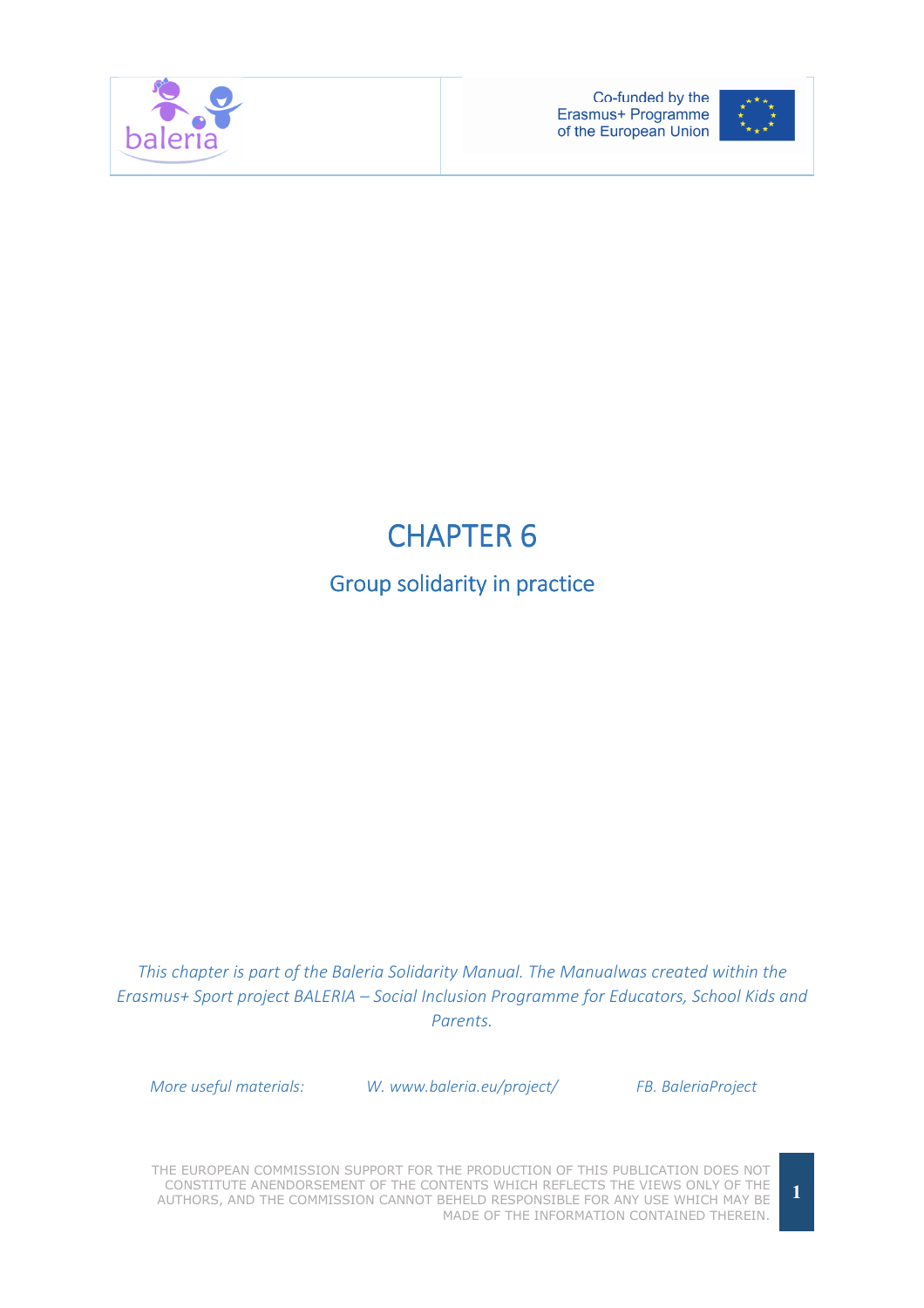



# **CHAPTER 6**

# Group solidarity in practice

This chapter is part of the Baleria Solidarity Manual. The Manualwas created within the Erasmus+ Sport project BALERIA – Social Inclusion Programme for Educators, School Kids and Parents.

More useful materials: W. www.baleria.eu/project/ FB. BaleriaProject

THE EUROPEAN COMMISSION SUPPORT FOR THE PRODUCTION OF THIS PUBLICATION DOES NOT CONSTITUTE ANENDORSEMENT OF THE CONTENTS WHICH REFLECTS THE VIEWS ONLY OF THE AUTHORS, AND THE COMMISSION CANNOT BEHELD RESPONSIBLE FOR ANY USE WHICH MAY BE MADE OF THE INFORMATION CONTAINED THEREIN.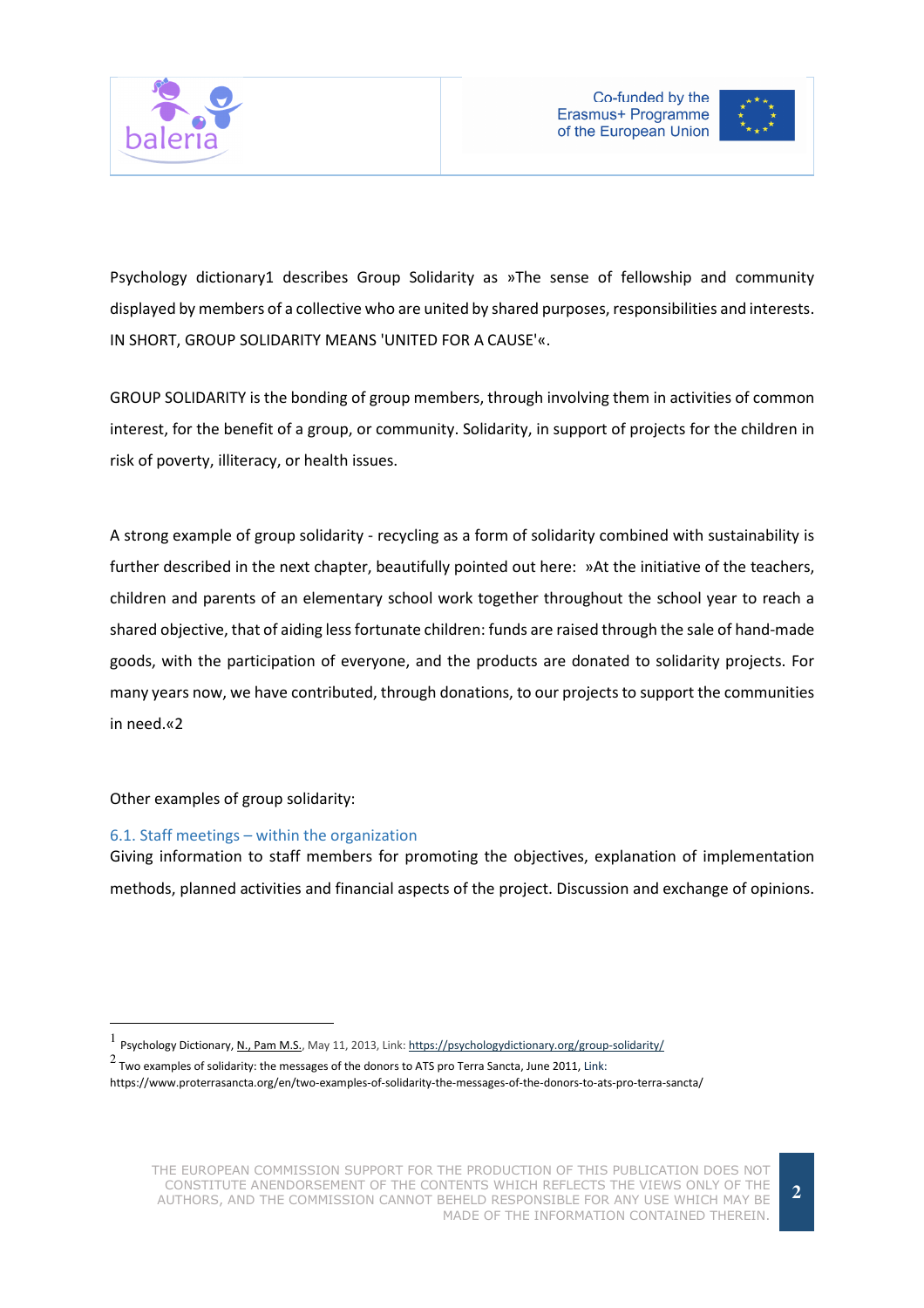



Psychology dictionary1 describes Group Solidarity as »The sense of fellowship and community displayed by members of a collective who are united by shared purposes, responsibilities and interests. IN SHORT, GROUP SOLIDARITY MEANS 'UNITED FOR A CAUSE'«.

GROUP SOLIDARITY is the bonding of group members, through involving them in activities of common interest, for the benefit of a group, or community. Solidarity, in support of projects for the children in risk of poverty, illiteracy, or health issues.

A strong example of group solidarity - recycling as a form of solidarity combined with sustainability is further described in the next chapter, beautifully pointed out here: »At the initiative of the teachers, children and parents of an elementary school work together throughout the school year to reach a shared objective, that of aiding less fortunate children: funds are raised through the sale of hand-made goods, with the participation of everyone, and the products are donated to solidarity projects. For many years now, we have contributed, through donations, to our projects to support the communities in need.«2

Other examples of group solidarity:

l.

#### 6.1. Staff meetings – within the organization

Giving information to staff members for promoting the objectives, explanation of implementation methods, planned activities and financial aspects of the project. Discussion and exchange of opinions.

<sup>1&</sup>lt;br>Psychology Dictionary, N., Pam M.S., May 11, 2013, Link: https://psychologydictionary.org/group-solidarity/

<sup>2</sup> Two examples of solidarity: the messages of the donors to ATS pro Terra Sancta, June 2011, Link: https://www.proterrasancta.org/en/two-examples-of-solidarity-the-messages-of-the-donors-to-ats-pro-terra-sancta/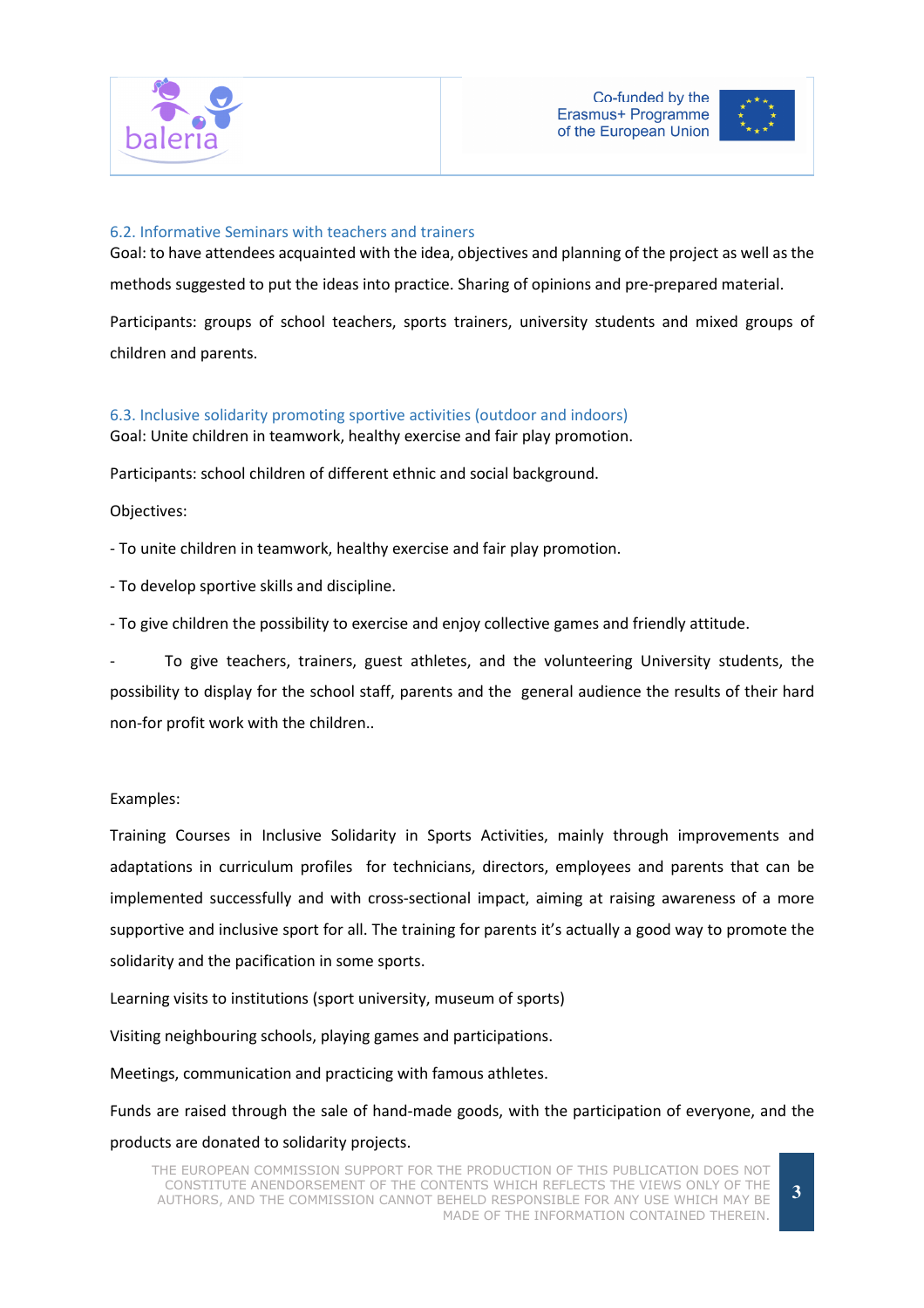



### 6.2. Informative Seminars with teachers and trainers

Goal: to have attendees acquainted with the idea, objectives and planning of the project as well as the methods suggested to put the ideas into practice. Sharing of opinions and pre-prepared material. Participants: groups of school teachers, sports trainers, university students and mixed groups of children and parents.

## 6.3. Inclusive solidarity promoting sportive activities (outdoor and indoors)

Goal: Unite children in teamwork, healthy exercise and fair play promotion.

Participants: school children of different ethnic and social background.

#### Objectives:

- To unite children in teamwork, healthy exercise and fair play promotion.

- To develop sportive skills and discipline.

- To give children the possibility to exercise and enjoy collective games and friendly attitude.

To give teachers, trainers, guest athletes, and the volunteering University students, the possibility to display for the school staff, parents and the general audience the results of their hard non-for profit work with the children..

#### Examples:

Training Courses in Inclusive Solidarity in Sports Activities, mainly through improvements and adaptations in curriculum profiles for technicians, directors, employees and parents that can be implemented successfully and with cross-sectional impact, aiming at raising awareness of a more supportive and inclusive sport for all. The training for parents it's actually a good way to promote the solidarity and the pacification in some sports.

Learning visits to institutions (sport university, museum of sports)

Visiting neighbouring schools, playing games and participations.

Meetings, communication and practicing with famous athletes.

Funds are raised through the sale of hand-made goods, with the participation of everyone, and the products are donated to solidarity projects.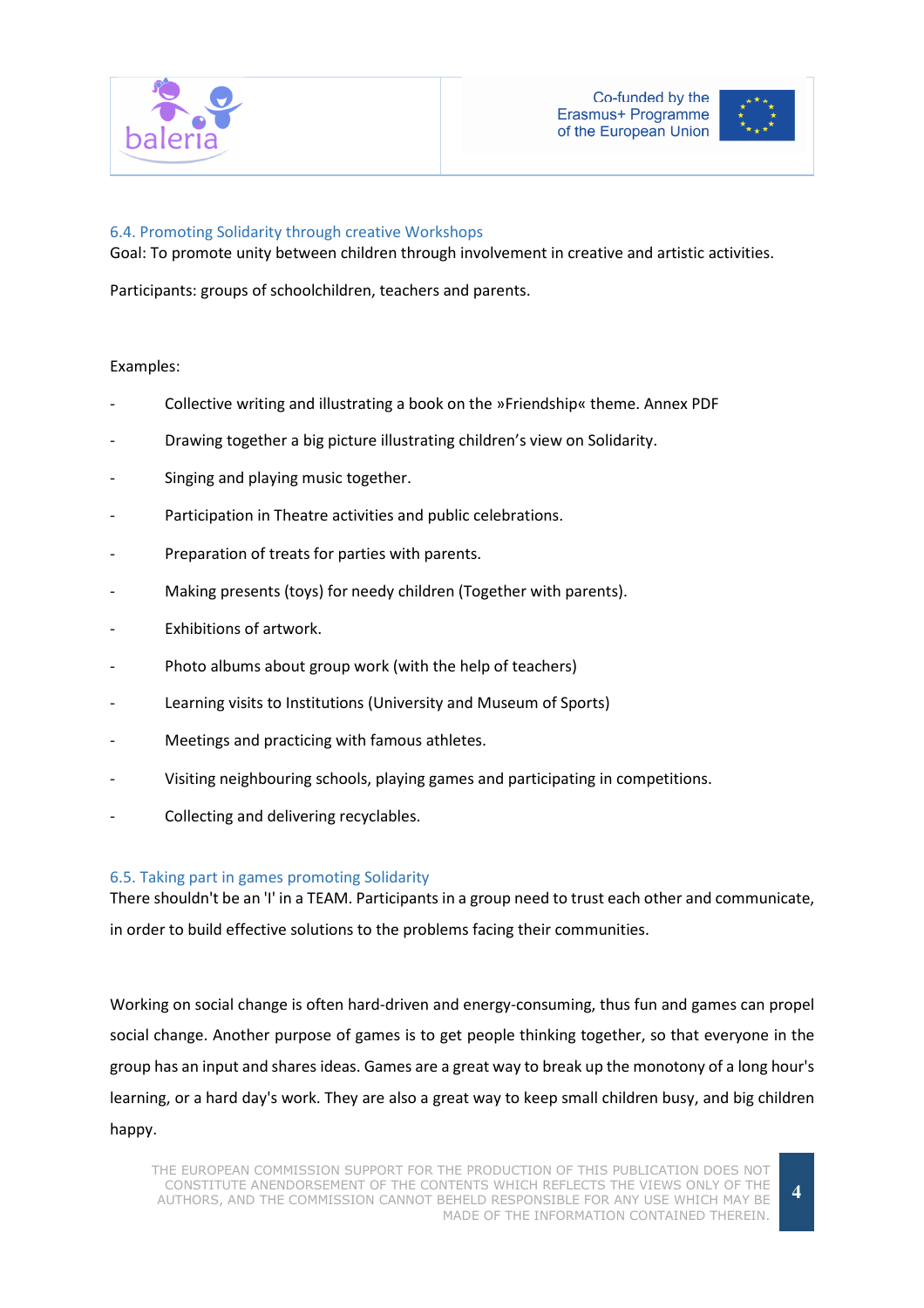



### 6.4. Promoting Solidarity through creative Workshops

Goal: To promote unity between children through involvement in creative and artistic activities.

Participants: groups of schoolchildren, teachers and parents.

#### Examples:

- Collective writing and illustrating a book on the »Friendship« theme. Annex PDF
- Drawing together a big picture illustrating children's view on Solidarity.
- Singing and playing music together.
- Participation in Theatre activities and public celebrations.
- Preparation of treats for parties with parents.
- Making presents (toys) for needy children (Together with parents).
- **Exhibitions of artwork.**
- Photo albums about group work (with the help of teachers)
- Learning visits to Institutions (University and Museum of Sports)
- Meetings and practicing with famous athletes.
- Visiting neighbouring schools, playing games and participating in competitions.
- Collecting and delivering recyclables.

#### 6.5. Taking part in games promoting Solidarity

There shouldn't be an 'I' in a TEAM. Participants in a group need to trust each other and communicate, in order to build effective solutions to the problems facing their communities.

Working on social change is often hard-driven and energy-consuming, thus fun and games can propel social change. Another purpose of games is to get people thinking together, so that everyone in the group has an input and shares ideas. Games are a great way to break up the monotony of a long hour's learning, or a hard day's work. They are also a great way to keep small children busy, and big children happy.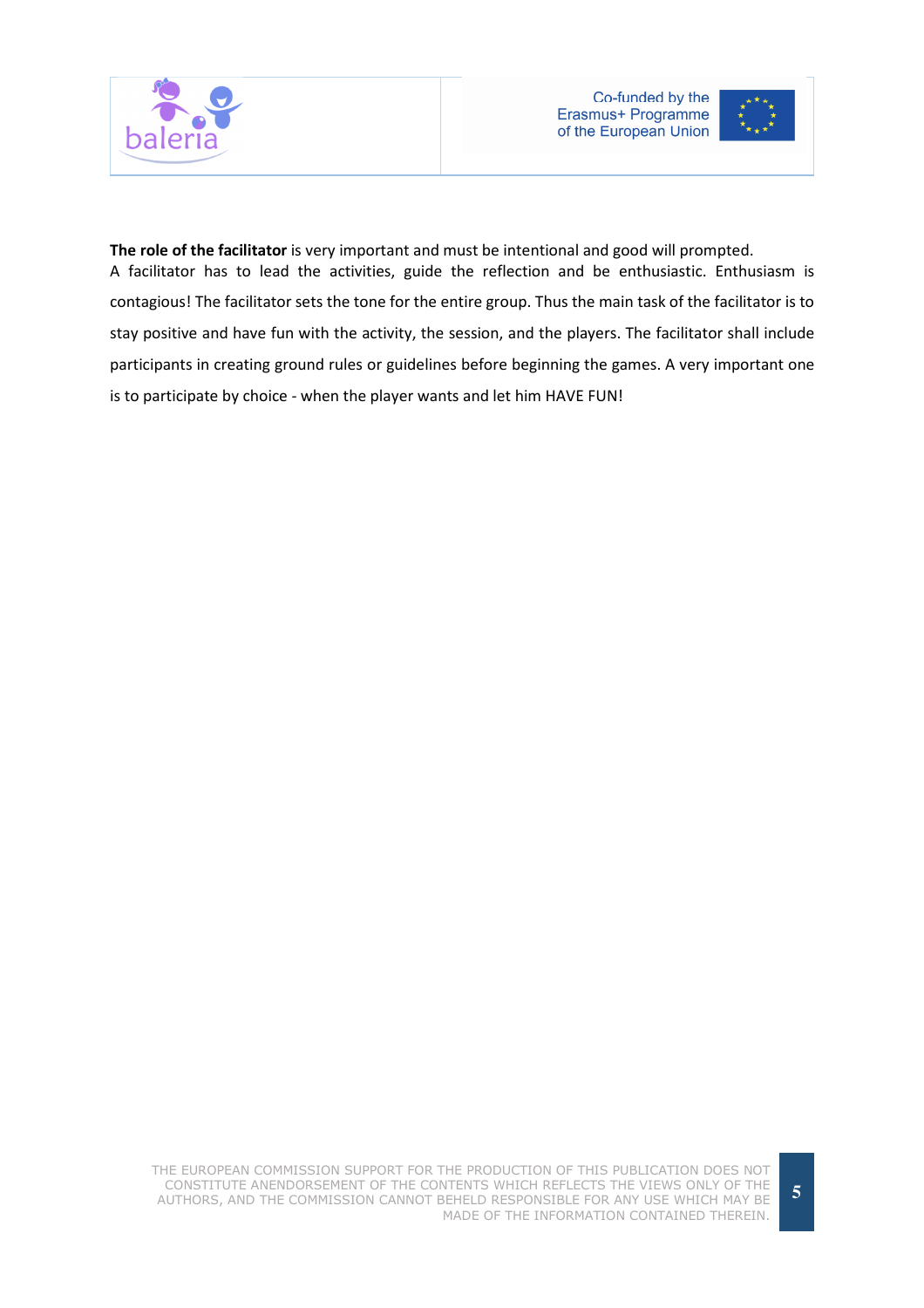



The role of the facilitator is very important and must be intentional and good will prompted. A facilitator has to lead the activities, guide the reflection and be enthusiastic. Enthusiasm is contagious! The facilitator sets the tone for the entire group. Thus the main task of the facilitator is to stay positive and have fun with the activity, the session, and the players. The facilitator shall include participants in creating ground rules or guidelines before beginning the games. A very important one is to participate by choice - when the player wants and let him HAVE FUN!